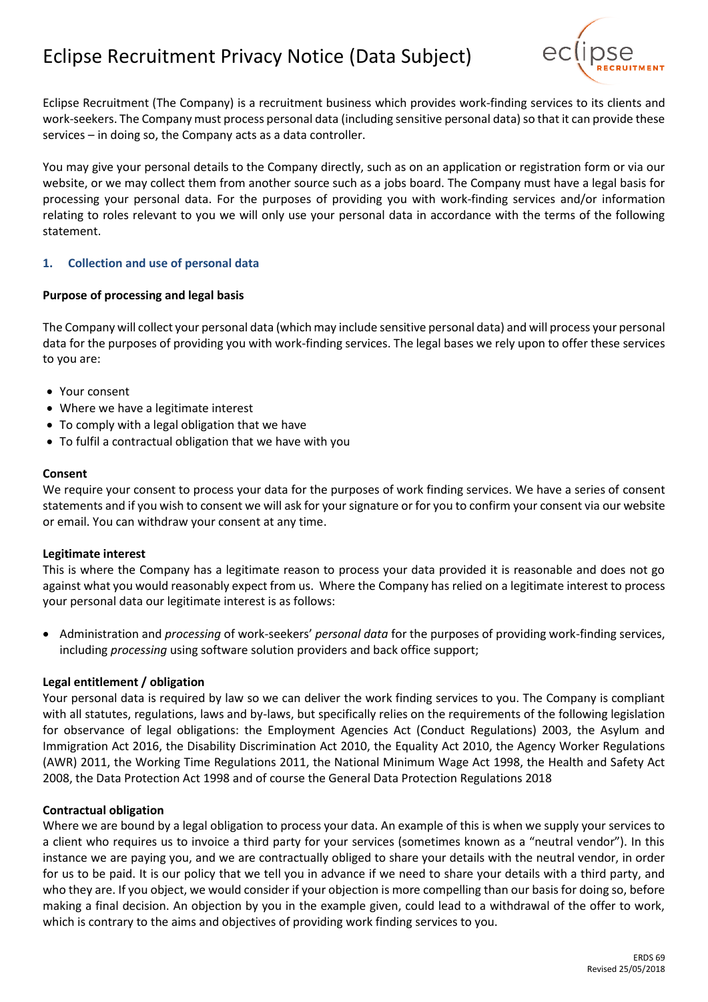# Eclipse Recruitment Privacy Notice (Data Subject)



Eclipse Recruitment (The Company) is a recruitment business which provides work-finding services to its clients and work-seekers. The Company must process personal data (including sensitive personal data) so that it can provide these services – in doing so, the Company acts as a data controller.

You may give your personal details to the Company directly, such as on an application or registration form or via our website, or we may collect them from another source such as a jobs board. The Company must have a legal basis for processing your personal data. For the purposes of providing you with work-finding services and/or information relating to roles relevant to you we will only use your personal data in accordance with the terms of the following statement.

# **1. Collection and use of personal data**

#### **Purpose of processing and legal basis**

The Company will collect your personal data (which may include sensitive personal data) and will process your personal data for the purposes of providing you with work-finding services. The legal bases we rely upon to offer these services to you are:

- Your consent
- Where we have a legitimate interest
- To comply with a legal obligation that we have
- To fulfil a contractual obligation that we have with you

#### **Consent**

We require your consent to process your data for the purposes of work finding services. We have a series of consent statements and if you wish to consent we will ask for your signature or for you to confirm your consent via our website or email. You can withdraw your consent at any time.

#### **Legitimate interest**

This is where the Company has a legitimate reason to process your data provided it is reasonable and does not go against what you would reasonably expect from us. Where the Company has relied on a legitimate interest to process your personal data our legitimate interest is as follows:

• Administration and *processing* of work-seekers' *personal data* for the purposes of providing work-finding services, including *processing* using software solution providers and back office support;

#### **Legal entitlement / obligation**

Your personal data is required by law so we can deliver the work finding services to you. The Company is compliant with all statutes, regulations, laws and by-laws, but specifically relies on the requirements of the following legislation for observance of legal obligations: the Employment Agencies Act (Conduct Regulations) 2003, the Asylum and Immigration Act 2016, the Disability Discrimination Act 2010, the Equality Act 2010, the Agency Worker Regulations (AWR) 2011, the Working Time Regulations 2011, the National Minimum Wage Act 1998, the Health and Safety Act 2008, the Data Protection Act 1998 and of course the General Data Protection Regulations 2018

#### **Contractual obligation**

Where we are bound by a legal obligation to process your data. An example of this is when we supply your services to a client who requires us to invoice a third party for your services (sometimes known as a "neutral vendor"). In this instance we are paying you, and we are contractually obliged to share your details with the neutral vendor, in order for us to be paid. It is our policy that we tell you in advance if we need to share your details with a third party, and who they are. If you object, we would consider if your objection is more compelling than our basis for doing so, before making a final decision. An objection by you in the example given, could lead to a withdrawal of the offer to work, which is contrary to the aims and objectives of providing work finding services to you.